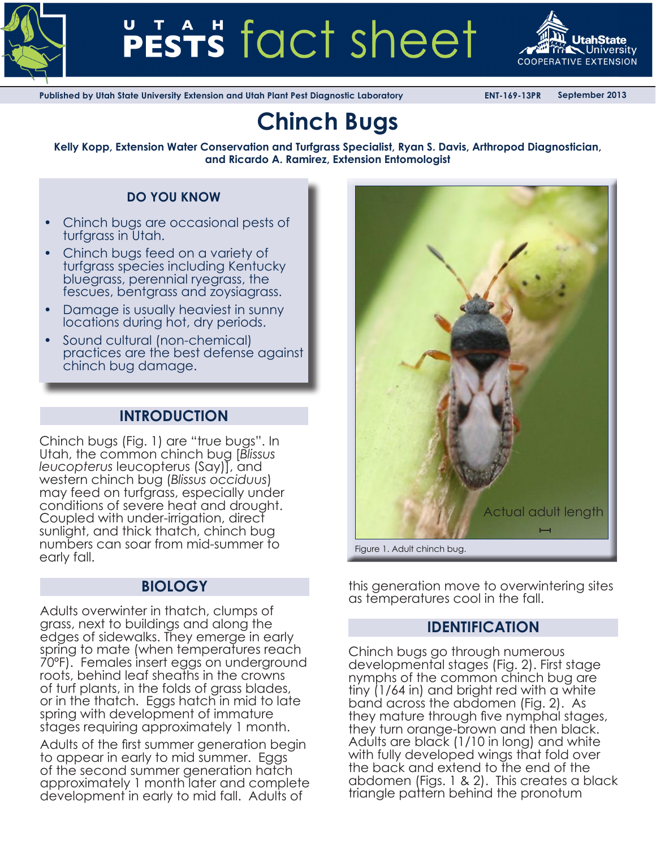



**Published by Utah State University Extension and Utah Plant Pest Diagnostic Laboratory ENT-169-13PR September 2013**

# **Chinch Bugs**

**Kelly Kopp, Extension Water Conservation and Turfgrass Specialist, Ryan S. Davis, Arthropod Diagnostician, and Ricardo A. Ramirez, Extension Entomologist**

# **DO YOU KNOW**

- Chinch bugs are occasional pests of turfgrass in Utah.
- Chinch bugs feed on a variety of turfgrass species including Kentucky bluegrass, perennial ryegrass, the fescues, bentgrass and zoysiagrass.
- **Damage is usually heaviest in sunny** locations during hot, dry periods.
- Sound cultural (non-chemical) practices are the best defense against chinch bug damage.

# **INTRODUCTION**

Chinch bugs (Fig. 1) are "true bugs". In Utah, the common chinch bug [*Blissus leucopterus* leucopterus (Say)], and western chinch bug (*Blissus occiduus*) may feed on turfgrass, especially under conditions of severe heat and drought. Coupled with under-irrigation, direct sunlight, and thick thatch, chinch bug numbers can soar from mid-summer to early fall.

Adults overwinter in thatch, clumps of grass, next to buildings and along the edges of sidewalks. They emerge in early spring to mate (when temperatures reach 70ºF). Females insert eggs on underground roots, behind leaf sheaths in the crowns of turf plants, in the folds of grass blades, or in the thatch. Eggs hatch in mid to late spring with development of immature stages requiring approximately 1 month.

Adults of the first summer generation begin to appear in early to mid summer. Eggs of the second summer generation hatch approximately 1 month later and complete development in early to mid fall. Adults of



**BIOLOGY** this generation move to overwintering sites as temperatures cool in the fall.

# **IDENTIFICATION**

Chinch bugs go through numerous developmental stages (Fig. 2). First stage nymphs of the common chinch bug are tiny (1/64 in) and bright red with a white band across the abdomen (Fig. 2). As they mature through five nymphal stages,<br>they turn orange-brown and then black. Adults are black (1/10 in long) and white with fully developed wings that fold over the back and extend to the end of the abdomen (Figs. 1 & 2). This creates a black triangle pattern behind the pronotum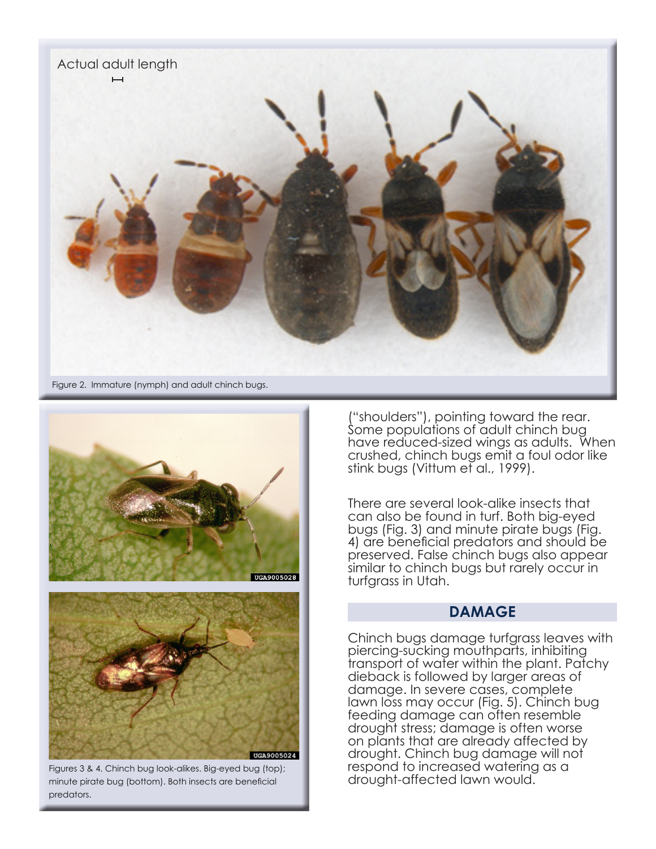



Figures 3 & 4. Chinch bug look-alikes. Big-eyed bug (top); minute pirate bug (bottom). Both insects are beneficial predators.

("shoulders"), pointing toward the rear. Some populations of adult chinch bug have reduced-sized wings as adults. When crushed, chinch bugs emit a foul odor like stink bugs (Vittum et al., 1999).

There are several look-alike insects that can also be found in turf. Both big-eyed bugs (Fig. 3) and minute pirate bugs (Fig. 4) are beneficial predators and should be preserved. False chinch bugs also appear similar to chinch bugs but rarely occur in turfgrass in Utah.

### **DAMAGE**

Chinch bugs damage turfgrass leaves with piercing-sucking mouthparts, inhibiting transport of water within the plant. Patchy dieback is followed by larger areas of damage. In severe cases, complete lawn loss may occur (Fig. 5). Chinch bug feeding damage can often resemble drought stress; damage is often worse on plants that are already affected by drought. Chinch bug damage will not respond to increased watering as a drought-affected lawn would.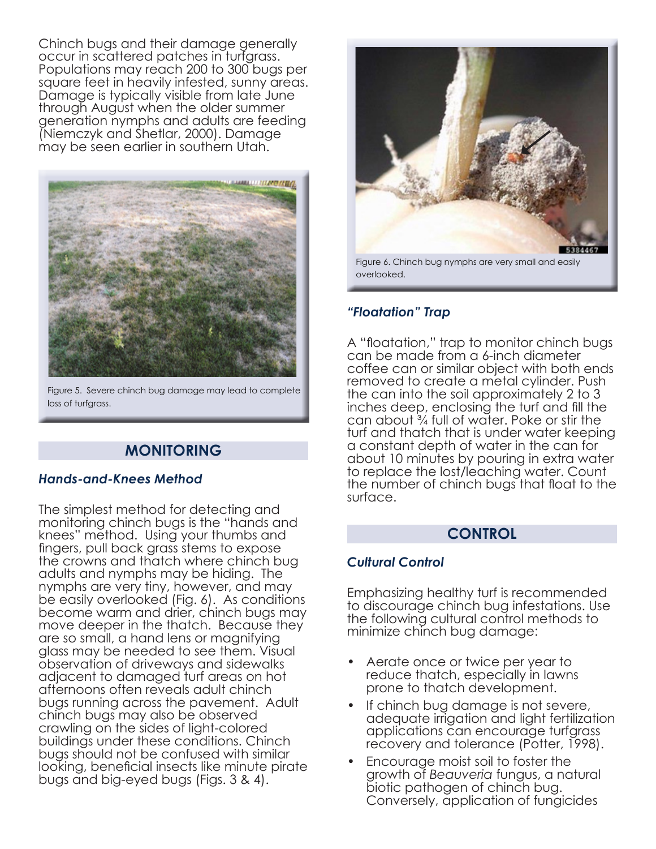Chinch bugs and their damage generally occur in scattered patches in turfgrass. Populations may reach 200 to 300 bugs per square feet in heavily infested, sunny areas. Damage is typically visible from late June through August when the older summer generation nymphs and adults are feeding (Niemczyk and Shetlar, 2000). Damage may be seen earlier in southern Utah.



Figure 5. Severe chinch bug damage may lead to complete loss of turfgrass.

# **MONITORING**

#### *Hands-and-Knees Method*

The simplest method for detecting and monitoring chinch bugs is the "hands and knees" method. Using your thumbs and fingers, pull back grass stems to expose the crowns and thatch where chinch bug adults and nymphs may be hiding. The nymphs are very tiny, however, and may be easily overlooked (Fig. 6). As conditions become warm and drier, chinch bugs may move deeper in the thatch. Because they are so small, a hand lens or magnifying glass may be needed to see them. Visual observation of driveways and sidewalks adjacent to damaged turf areas on hot afternoons often reveals adult chinch bugs running across the pavement. Adult chinch bugs may also be observed crawling on the sides of light-colored buildings under these conditions. Chinch bugs should not be confused with similar looking, beneficial insects like minute pirate bugs and big-eyed bugs (Figs. 3 & 4).



Figure 6. Chinch bug nymphs are very small and easily overlooked.

# *"Floatation" Trap*

A "floatation," trap to monitor chinch bugs can be made from a 6-inch diameter coffee can or similar object with both ends removed to create a metal cylinder. Push the can into the soil approximately 2 to 3 inches deep, enclosing the turf and fill the can about ¾ full of water. Poke or stir the turf and thatch that is under water keeping a constant depth of water in the can for about 10 minutes by pouring in extra water to replace the lost/leaching water. Count the number of chinch bugs that float to the surface.

# **CONTROL**

#### *Cultural Control*

Emphasizing healthy turf is recommended to discourage chinch bug infestations. Use the following cultural control methods to minimize chinch bug damage:

- Aerate once or twice per year to reduce thatch, especially in lawns prone to thatch development.
- If chinch bug damage is not severe, adequate irrigation and light fertilization applications can encourage turfgrass recovery and tolerance (Potter, 1998).
- Encourage moist soil to foster the growth of *Beauveria* fungus, a natural biotic pathogen of chinch bug. Conversely, application of fungicides